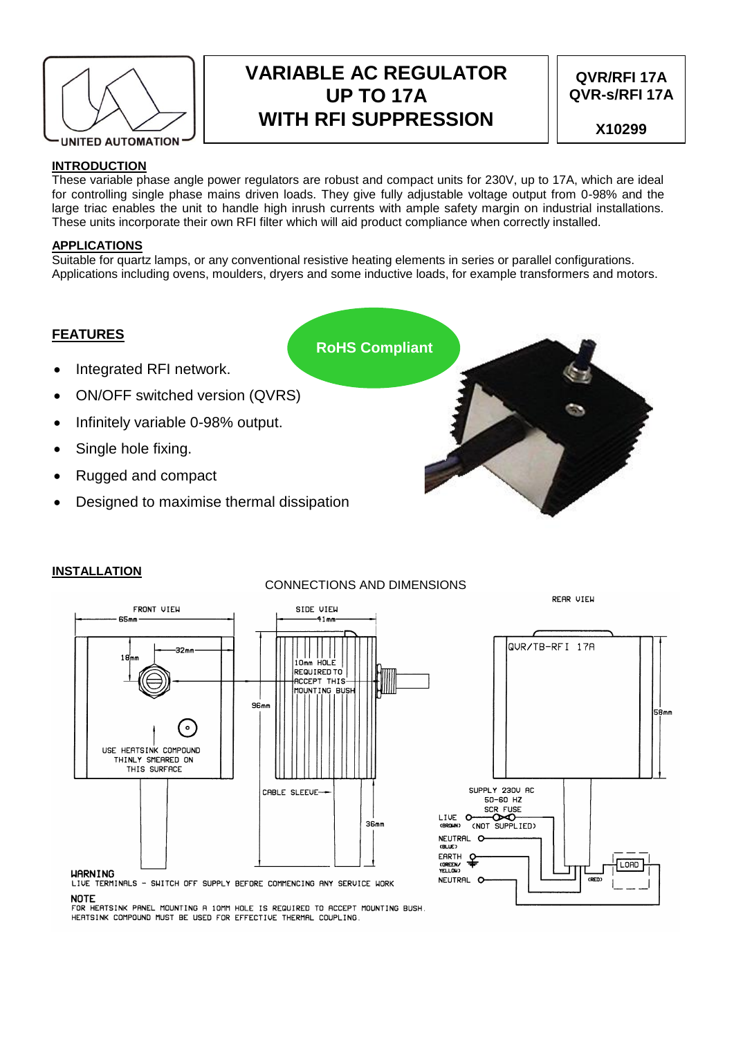

# **VARIABLE AC REGULATOR UP TO 17A WITH RFI SUPPRESSION**

# **QVR/RFI 17A QVR-s/RFI 17A**

**X10299**

## **INTRODUCTION**

These variable phase angle power regulators are robust and compact units for 230V, up to 17A, which are ideal for controlling single phase mains driven loads. They give fully adjustable voltage output from 0-98% and the large triac enables the unit to handle high inrush currents with ample safety margin on industrial installations. These units incorporate their own RFI filter which will aid product compliance when correctly installed.

## **APPLICATIONS**

Suitable for quartz lamps, or any conventional resistive heating elements in series or parallel configurations. Applications including ovens, moulders, dryers and some inductive loads, for example transformers and motors.

# **FEATURES**

- Integrated RFI network.
- ON/OFF switched version (QVRS)
- Infinitely variable 0-98% output.
- Single hole fixing.
- Rugged and compact
- Designed to maximise thermal dissipation



# **INSTALLATION**

# CONNECTIONS AND DIMENSIONS





LIVE TERMINALS - SWITCH OFF SUPPLY BEFORE COMMENCING ANY SERVICE WORK **NOTE** 

FOR HEATSINK PANEL MOUNTING A 10MM HOLE IS REQUIRED TO ACCEPT MOUNTING BUSH. HERTSINK COMPOUND MUST BE USED FOR EFFECTIVE THERMAL COUPLING.